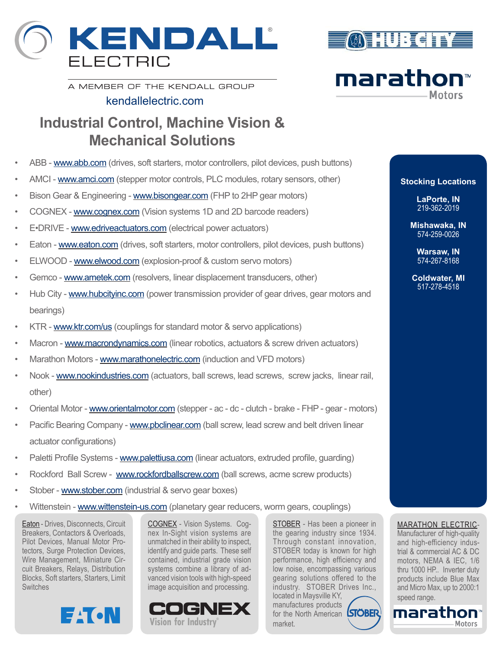





A MEMBER OF THE KENDALL GROUP

## kendallelectric.com

## **Industrial Control, Machine Vision & Mechanical Solutions**

- ABB www.abb.com (drives, soft starters, motor controllers, pilot devices, push buttons)
- AMCI www.amci.com (stepper motor controls, PLC modules, rotary sensors, other)
- Bison Gear & Engineering www.bisongear.com (FHP to 2HP gear motors)
- COGNEX www.cognex.com (Vision systems 1D and 2D barcode readers)
- E.DRIVE www.edriveactuators.com (electrical power actuators)
- Eaton www.eaton.com (drives, soft starters, motor controllers, pilot devices, push buttons)
- ELWOOD www.elwood.com (explosion-proof & custom servo motors)
- Gemco www.ametek.com (resolvers, linear displacement transducers, other)
- Hub City www.hubcityinc.com (power transmission provider of gear drives, gear motors and bearings)
- KTR www.ktr.com/us (couplings for standard motor & servo applications)
- Macron www.macrondynamics.com (linear robotics, actuators & screw driven actuators)
- Marathon Motors www.marathonelectric.com (induction and VFD motors)
- Nook www.nookindustries.com (actuators, ball screws, lead screws, screw jacks, linear rail, other)
- Oriental Motor www.orientalmotor.com (stepper ac dc clutch brake FHP gear motors)
- Pacific Bearing Company www.pbclinear.com (ball screw, lead screw and belt driven linear actuator configurations)
- Paletti Profile Systems www.palettiusa.com (linear actuators, extruded profile, guarding)
- Rockford Ball Screw www.rockfordballscrew.com (ball screws, acme screw products)
- Stober www.stober.com (industrial & servo gear boxes)
- Wittenstein www.wittenstein-us.com (planetary gear reducers, worm gears, couplings)

Eaton - Drives, Disconnects, Circuit Breakers, Contactors & Overloads, Pilot Devices, Manual Motor Protectors, Surge Protection Devices, Wire Management, Miniature Circuit Breakers, Relays, Distribution Blocks, Soft starters, Starters, Limit **Switches** 

**EACN** 

COGNEX - Vision Systems. Cognex In-Sight vision systems are unmatched in their ability to inspect, identify and guide parts. These self contained, industrial grade vision systems combine a library of advanced vision tools with high-speed image acquisition and processing.



STOBER - Has been a pioneer in the gearing industry since 1934. Through constant innovation, STOBER today is known for high performance, high efficiency and low noise, encompassing various gearing solutions offered to the industry. STOBER Drives Inc., located in Maysville KY, manufactures products for the North American **STOBER** 

market.

**Stocking Locations LaPorte, IN**

> **Mishawaka, IN** 574-259-0026

219-362-2019

**Warsaw, IN** 574-267-8168

**Coldwater, MI** 517-278-4518

## MARATHON ELECTRIC-

Manufacturer of high-quality and high-efficiency industrial & commercial AC & DC motors, NEMA & IEC, 1/6 thru 1000 HP.. Inverter duty products include Blue Max and Micro Max, up to 2000:1 speed range.